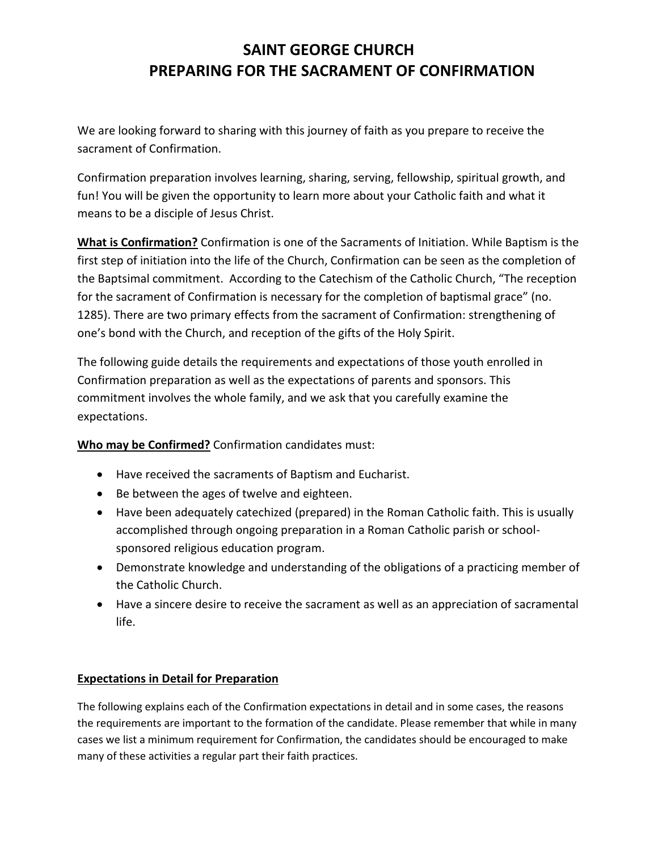# **SAINT GEORGE CHURCH PREPARING FOR THE SACRAMENT OF CONFIRMATION**

We are looking forward to sharing with this journey of faith as you prepare to receive the sacrament of Confirmation.

Confirmation preparation involves learning, sharing, serving, fellowship, spiritual growth, and fun! You will be given the opportunity to learn more about your Catholic faith and what it means to be a disciple of Jesus Christ.

**What is Confirmation?** Confirmation is one of the Sacraments of Initiation. While Baptism is the first step of initiation into the life of the Church, Confirmation can be seen as the completion of the Baptsimal commitment. According to the Catechism of the Catholic Church, "The reception for the sacrament of Confirmation is necessary for the completion of baptismal grace" (no. 1285). There are two primary effects from the sacrament of Confirmation: strengthening of one's bond with the Church, and reception of the gifts of the Holy Spirit.

The following guide details the requirements and expectations of those youth enrolled in Confirmation preparation as well as the expectations of parents and sponsors. This commitment involves the whole family, and we ask that you carefully examine the expectations.

**Who may be Confirmed?** Confirmation candidates must:

- Have received the sacraments of Baptism and Eucharist.
- Be between the ages of twelve and eighteen.
- Have been adequately catechized (prepared) in the Roman Catholic faith. This is usually accomplished through ongoing preparation in a Roman Catholic parish or schoolsponsored religious education program.
- Demonstrate knowledge and understanding of the obligations of a practicing member of the Catholic Church.
- Have a sincere desire to receive the sacrament as well as an appreciation of sacramental life.

### **Expectations in Detail for Preparation**

The following explains each of the Confirmation expectations in detail and in some cases, the reasons the requirements are important to the formation of the candidate. Please remember that while in many cases we list a minimum requirement for Confirmation, the candidates should be encouraged to make many of these activities a regular part their faith practices.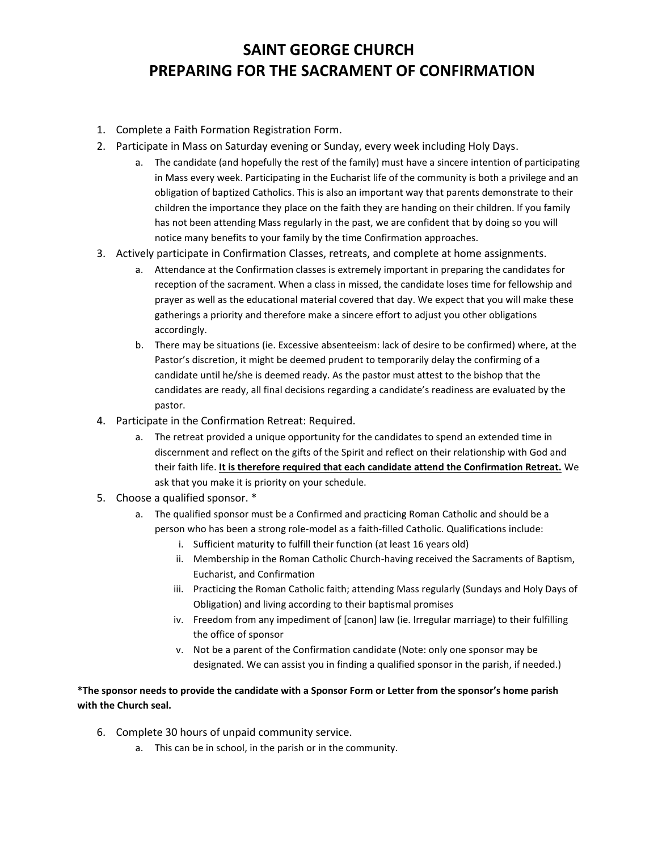# **SAINT GEORGE CHURCH PREPARING FOR THE SACRAMENT OF CONFIRMATION**

- 1. Complete a Faith Formation Registration Form.
- 2. Participate in Mass on Saturday evening or Sunday, every week including Holy Days.
	- a. The candidate (and hopefully the rest of the family) must have a sincere intention of participating in Mass every week. Participating in the Eucharist life of the community is both a privilege and an obligation of baptized Catholics. This is also an important way that parents demonstrate to their children the importance they place on the faith they are handing on their children. If you family has not been attending Mass regularly in the past, we are confident that by doing so you will notice many benefits to your family by the time Confirmation approaches.
- 3. Actively participate in Confirmation Classes, retreats, and complete at home assignments.
	- a. Attendance at the Confirmation classes is extremely important in preparing the candidates for reception of the sacrament. When a class in missed, the candidate loses time for fellowship and prayer as well as the educational material covered that day. We expect that you will make these gatherings a priority and therefore make a sincere effort to adjust you other obligations accordingly.
	- b. There may be situations (ie. Excessive absenteeism: lack of desire to be confirmed) where, at the Pastor's discretion, it might be deemed prudent to temporarily delay the confirming of a candidate until he/she is deemed ready. As the pastor must attest to the bishop that the candidates are ready, all final decisions regarding a candidate's readiness are evaluated by the pastor.
- 4. Participate in the Confirmation Retreat: Required.
	- a. The retreat provided a unique opportunity for the candidates to spend an extended time in discernment and reflect on the gifts of the Spirit and reflect on their relationship with God and their faith life. **It is therefore required that each candidate attend the Confirmation Retreat.** We ask that you make it is priority on your schedule.
- 5. Choose a qualified sponsor. \*
	- a. The qualified sponsor must be a Confirmed and practicing Roman Catholic and should be a person who has been a strong role-model as a faith-filled Catholic. Qualifications include:
		- i. Sufficient maturity to fulfill their function (at least 16 years old)
		- ii. Membership in the Roman Catholic Church-having received the Sacraments of Baptism, Eucharist, and Confirmation
		- iii. Practicing the Roman Catholic faith; attending Mass regularly (Sundays and Holy Days of Obligation) and living according to their baptismal promises
		- iv. Freedom from any impediment of [canon] law (ie. Irregular marriage) to their fulfilling the office of sponsor
		- v. Not be a parent of the Confirmation candidate (Note: only one sponsor may be designated. We can assist you in finding a qualified sponsor in the parish, if needed.)

### **\*The sponsor needs to provide the candidate with a Sponsor Form or Letter from the sponsor's home parish with the Church seal.**

- 6. Complete 30 hours of unpaid community service.
	- a. This can be in school, in the parish or in the community.